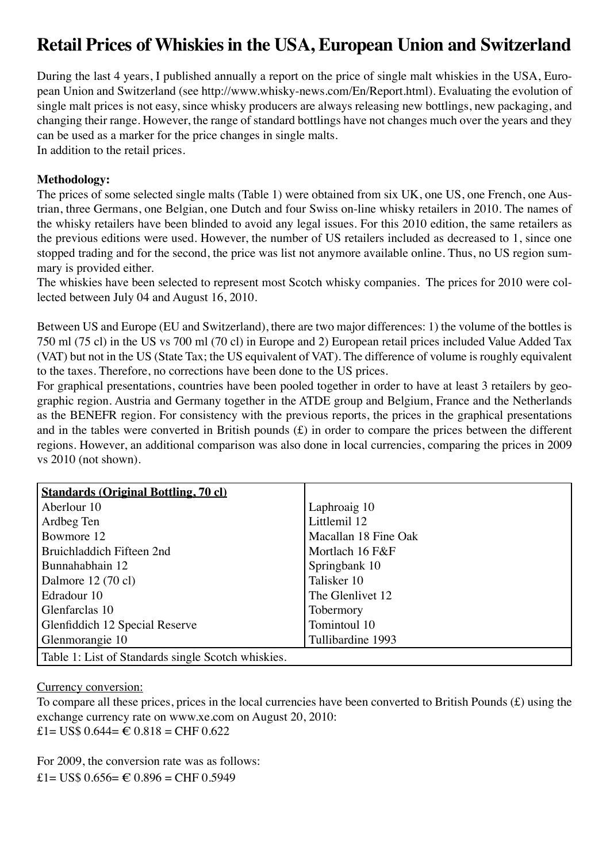# **Retail Prices of Whiskies in the USA, European Union and Switzerland**

During the last 4 years, I published annually a report on the price of single malt whiskies in the USA, European Union and Switzerland (see http://www.whisky-news.com/En/Report.html). Evaluating the evolution of single malt prices is not easy, since whisky producers are always releasing new bottlings, new packaging, and changing their range. However, the range of standard bottlings have not changes much over the years and they can be used as a marker for the price changes in single malts.

In addition to the retail prices.

## **Methodology:**

The prices of some selected single malts (Table 1) were obtained from six UK, one US, one French, one Austrian, three Germans, one Belgian, one Dutch and four Swiss on-line whisky retailers in 2010. The names of the whisky retailers have been blinded to avoid any legal issues. For this 2010 edition, the same retailers as the previous editions were used. However, the number of US retailers included as decreased to 1, since one stopped trading and for the second, the price was list not anymore available online. Thus, no US region summary is provided either.

The whiskies have been selected to represent most Scotch whisky companies. The prices for 2010 were collected between July 04 and August 16, 2010.

Between US and Europe (EU and Switzerland), there are two major differences: 1) the volume of the bottles is 750 ml (75 cl) in the US vs 700 ml (70 cl) in Europe and 2) European retail prices included Value Added Tax (VAT) but not in the US (State Tax; the US equivalent of VAT). The difference of volume is roughly equivalent to the taxes. Therefore, no corrections have been done to the US prices.

For graphical presentations, countries have been pooled together in order to have at least 3 retailers by geographic region. Austria and Germany together in the ATDE group and Belgium, France and the Netherlands as the BENEFR region. For consistency with the previous reports, the prices in the graphical presentations and in the tables were converted in British pounds (£) in order to compare the prices between the different regions. However, an additional comparison was also done in local currencies, comparing the prices in 2009 vs 2010 (not shown).

| <b>Standards (Original Bottling, 70 cl)</b>        |                      |
|----------------------------------------------------|----------------------|
| Aberlour 10                                        | Laphroaig 10         |
| Ardbeg Ten                                         | Littlemil 12         |
| Bowmore 12                                         | Macallan 18 Fine Oak |
| Bruichladdich Fifteen 2nd                          | Mortlach 16 F&F      |
| Bunnahabhain 12                                    | Springbank 10        |
| Dalmore 12 (70 cl)                                 | Talisker 10          |
| Edradour 10                                        | The Glenlivet 12     |
| Glenfarclas 10                                     | Tobermory            |
| Glenfiddich 12 Special Reserve                     | Tomintoul 10         |
| Glenmorangie 10                                    | Tullibardine 1993    |
| Table 1: List of Standards single Scotch whiskies. |                      |

Currency conversion:

To compare all these prices, prices in the local currencies have been converted to British Pounds (£) using the exchange currency rate on www.xe.com on August 20, 2010: £1= US\$  $0.644 = \text{\textsterling} 0.818 = \text{CHF } 0.622$ 

For 2009, the conversion rate was as follows: £1= US\$  $0.656=$  € 0.896 = CHF 0.5949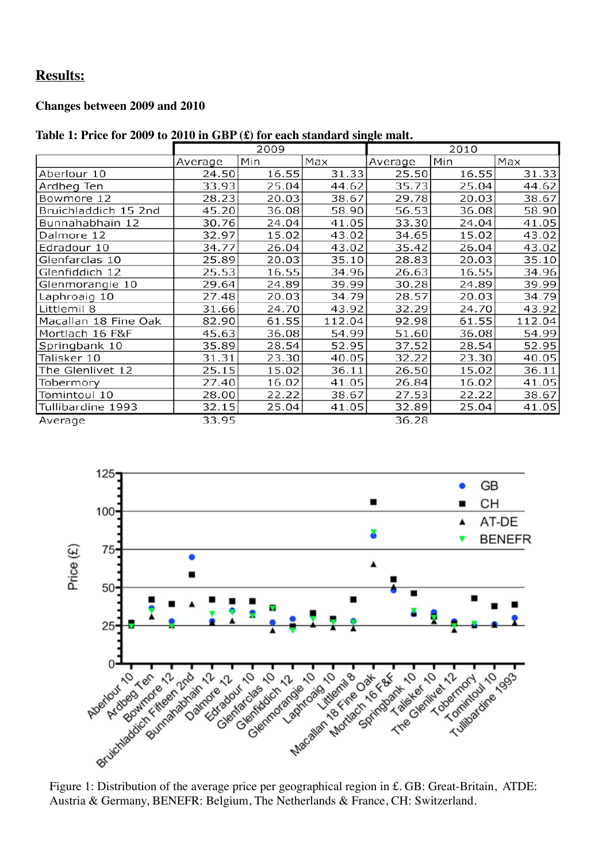## **Results:**

## **Changes between 2009 and 2010**

#### **Table 1: Price for 2009 to 2010 in GBP (£) for each standard single malt.**

|                      |         | 2009  |        | 2010    |       |        |  |
|----------------------|---------|-------|--------|---------|-------|--------|--|
|                      | Average | Min   | Max    | Average | Min   | Max    |  |
| Aberlour 10          | 24.50   | 16.55 | 31.33  | 25.50   | 16.55 | 31.33  |  |
| Ardbeg Ten           | 33.93   | 25.04 | 44.62  | 35.73   | 25.04 | 44.62  |  |
| Bowmore 12           | 28.23   | 20.03 | 38.67  | 29.78   | 20.03 | 38.67  |  |
| Bruichladdich 15 2nd | 45.20   | 36.08 | 58.90  | 56.53   | 36.08 | 58.90  |  |
| Bunnahabhain 12      | 30.76   | 24.04 | 41.05  | 33.30   | 24.04 | 41.05  |  |
| Dalmore 12           | 32.97   | 15.02 | 43.02  | 34.65   | 15.02 | 43.02  |  |
| Edradour 10          | 34.77   | 26.04 | 43.02  | 35.42   | 26.04 | 43.02  |  |
| Glenfarclas 10       | 25.89   | 20.03 | 35.10  | 28.83   | 20.03 | 35.10  |  |
| Glenfiddich 12       | 25.53   | 16.55 | 34.96  | 26.63   | 16.55 | 34.96  |  |
| Glenmorangie 10      | 29.64   | 24.89 | 39.99  | 30.28   | 24.89 | 39.99  |  |
| Laphroaig 10         | 27.48   | 20.03 | 34.79  | 28.57   | 20.03 | 34.79  |  |
| Littlemil 8          | 31.66   | 24.70 | 43.92  | 32.29   | 24.70 | 43.92  |  |
| Macallan 18 Fine Oak | 82.90   | 61.55 | 112.04 | 92.98   | 61.55 | 112.04 |  |
| Mortlach 16 F&F      | 45.63   | 36.08 | 54.99  | 51.60   | 36.08 | 54.99  |  |
| Springbank 10        | 35.89   | 28.54 | 52.95  | 37.52   | 28.54 | 52.95  |  |
| Talisker 10          | 31.31   | 23.30 | 40.05  | 32.22   | 23.30 | 40.05  |  |
| The Glenlivet 12     | 25.15   | 15.02 | 36.11  | 26.50   | 15.02 | 36.11  |  |
| Tobermory            | 27.40   | 16.02 | 41.05  | 26.84   | 16.02 | 41.05  |  |
| Tomintoul 10         | 28.00   | 22.22 | 38.67  | 27.53   | 22.22 | 38.67  |  |
| Tullibardine 1993    | 32.15   | 25.04 | 41.05  | 32.89   | 25.04 | 41.05  |  |
| Average              | 33.95   |       |        | 36.28   |       |        |  |



Austria & Germany, BENEFR: Belgium, The Netherlands & France, CH: Switzerland.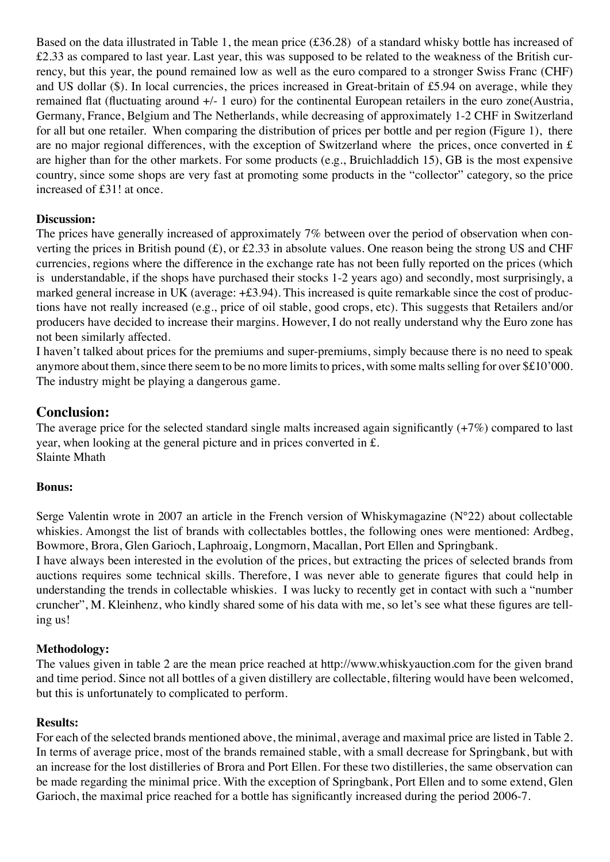Based on the data illustrated in Table 1, the mean price (£36.28) of a standard whisky bottle has increased of £2.33 as compared to last year. Last year, this was supposed to be related to the weakness of the British currency, but this year, the pound remained low as well as the euro compared to a stronger Swiss Franc (CHF) and US dollar (\$). In local currencies, the prices increased in Great-britain of £5.94 on average, while they remained flat (fluctuating around +/- 1 euro) for the continental European retailers in the euro zone(Austria, Germany, France, Belgium and The Netherlands, while decreasing of approximately 1-2 CHF in Switzerland for all but one retailer. When comparing the distribution of prices per bottle and per region (Figure 1), there are no major regional differences, with the exception of Switzerland where the prices, once converted in £ are higher than for the other markets. For some products (e.g., Bruichladdich 15), GB is the most expensive country, since some shops are very fast at promoting some products in the "collector" category, so the price increased of £31! at once.

## **Discussion:**

The prices have generally increased of approximately 7% between over the period of observation when converting the prices in British pound (£), or £2.33 in absolute values. One reason being the strong US and CHF currencies, regions where the difference in the exchange rate has not been fully reported on the prices (which is understandable, if the shops have purchased their stocks 1-2 years ago) and secondly, most surprisingly, a marked general increase in UK (average: +£3.94). This increased is quite remarkable since the cost of productions have not really increased (e.g., price of oil stable, good crops, etc). This suggests that Retailers and/or producers have decided to increase their margins. However, I do not really understand why the Euro zone has not been similarly affected.

I haven't talked about prices for the premiums and super-premiums, simply because there is no need to speak anymore about them, since there seem to be no more limits to prices, with some malts selling for over \$£10'000. The industry might be playing a dangerous game.

## **Conclusion:**

The average price for the selected standard single malts increased again significantly (+7%) compared to last year, when looking at the general picture and in prices converted in £. Slainte Mhath

## **Bonus:**

Serge Valentin wrote in 2007 an article in the French version of Whiskymagazine (N°22) about collectable whiskies. Amongst the list of brands with collectables bottles, the following ones were mentioned: Ardbeg, Bowmore, Brora, Glen Garioch, Laphroaig, Longmorn, Macallan, Port Ellen and Springbank.

I have always been interested in the evolution of the prices, but extracting the prices of selected brands from auctions requires some technical skills. Therefore, I was never able to generate figures that could help in understanding the trends in collectable whiskies. I was lucky to recently get in contact with such a "number cruncher", M. Kleinhenz, who kindly shared some of his data with me, so let's see what these figures are telling us!

## **Methodology:**

The values given in table 2 are the mean price reached at http://www.whiskyauction.com for the given brand and time period. Since not all bottles of a given distillery are collectable, filtering would have been welcomed, but this is unfortunately to complicated to perform.

## **Results:**

For each of the selected brands mentioned above, the minimal, average and maximal price are listed in Table 2. In terms of average price, most of the brands remained stable, with a small decrease for Springbank, but with an increase for the lost distilleries of Brora and Port Ellen. For these two distilleries, the same observation can be made regarding the minimal price. With the exception of Springbank, Port Ellen and to some extend, Glen Garioch, the maximal price reached for a bottle has significantly increased during the period 2006-7.